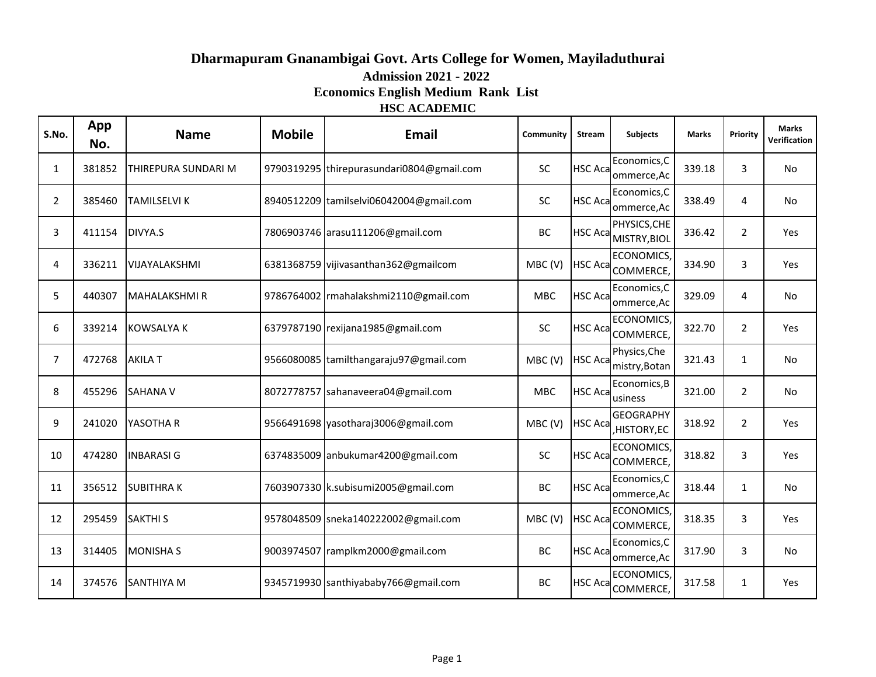# **HSC ACADEMIC Dharmapuram Gnanambigai Govt. Arts College for Women, Mayiladuthurai Admission 2021 - 2022 Economics English Medium Rank List**

| S.No.          | App<br>No. | <b>Name</b>          | <b>Mobile</b> | <b>Email</b>                              | Community  | <b>Stream</b>   | Subjects                             | <b>Marks</b> | Priority       | <b>Marks</b><br>Verification |
|----------------|------------|----------------------|---------------|-------------------------------------------|------------|-----------------|--------------------------------------|--------------|----------------|------------------------------|
| 1              | 381852     | THIREPURA SUNDARI M  |               | 9790319295 thirepurasundari0804@gmail.com | <b>SC</b>  | <b>HSC Acal</b> | Economics, C<br>ommerce, Ac          | 339.18       | 3              | No                           |
| $\overline{2}$ | 385460     | <b>TAMILSELVI K</b>  |               | 8940512209 tamilselvi06042004@gmail.com   | <b>SC</b>  | <b>HSC Acal</b> | Economics, C<br>ommerce, Ac          | 338.49       | 4              | No                           |
| 3              | 411154     | DIVYA.S              |               | 7806903746 arasu111206@gmail.com          | BC         |                 | PHYSICS, CHE<br>HSC Aca MISTRY, BIOL | 336.42       | $\overline{2}$ | Yes                          |
| 4              | 336211     | <b>VIJAYALAKSHMI</b> |               | 6381368759 vijivasanthan362@gmailcom      | MBC(V)     |                 | ECONOMICS,<br>HSC Aca COMMERCE,      | 334.90       | 3              | Yes                          |
| 5              | 440307     | <b>MAHALAKSHMIR</b>  |               | 9786764002   rmahalakshmi 2110@gmail.com  | <b>MBC</b> | <b>HSC Aca</b>  | Economics, C<br>ommerce, Ac          | 329.09       | 4              | No                           |
| 6              | 339214     | <b>KOWSALYA K</b>    |               | 6379787190 rexijana1985@gmail.com         | <b>SC</b>  |                 | ECONOMICS,<br>HSC Aca COMMERCE,      | 322.70       | $\overline{2}$ | Yes                          |
| $\overline{7}$ | 472768     | <b>AKILA T</b>       |               | 9566080085 tamilthangaraju97@gmail.com    | MBC(V)     | <b>HSC Aca</b>  | Physics, Che<br>mistry, Botan        | 321.43       | 1              | No                           |
| 8              | 455296     | <b>SAHANA V</b>      |               | 8072778757 sahanaveera04@gmail.com        | <b>MBC</b> | <b>HSC Aca</b>  | Economics, B<br>usiness              | 321.00       | $\overline{2}$ | No                           |
| 9              | 241020     | YASOTHA R            |               | 9566491698 yasotharaj3006@gmail.com       | MBC(V)     | <b>HSC Aca</b>  | <b>GEOGRAPHY</b><br>HISTORY, EC      | 318.92       | $\overline{2}$ | Yes                          |
| 10             | 474280     | <b>INBARASIG</b>     |               | 6374835009 anbukumar4200@gmail.com        | SC         | <b>HSC Aca</b>  | ECONOMICS,<br>COMMERCE,              | 318.82       | 3              | Yes                          |
| 11             | 356512     | <b>SUBITHRAK</b>     |               | 7603907330 k.subisumi2005@gmail.com       | BC         | <b>HSC Aca</b>  | Economics, C<br>ommerce, Ac          | 318.44       | 1              | No                           |
| 12             | 295459     | <b>SAKTHIS</b>       |               | 9578048509 sneka140222002@gmail.com       | MBC(V)     | <b>HSC Aca</b>  | ECONOMICS,<br>COMMERCE,              | 318.35       | 3              | Yes                          |
| 13             | 314405     | <b>MONISHA S</b>     |               | 9003974507 ramplkm2000@gmail.com          | BC         | <b>HSC Aca</b>  | Economics, C<br>ommerce, Ac          | 317.90       | 3              | No                           |
| 14             | 374576     | <b>SANTHIYA M</b>    |               | 9345719930 santhiyababy766@gmail.com      | <b>BC</b>  | <b>HSC Acal</b> | ECONOMICS,<br>COMMERCE,              | 317.58       | 1              | Yes                          |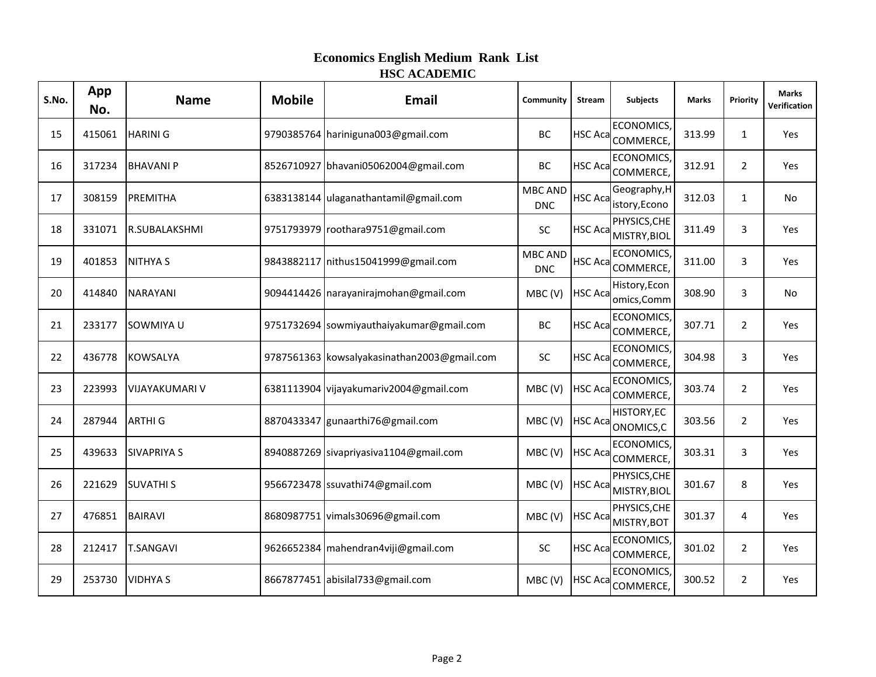| S.No. | App<br>No. | <b>Name</b>           | <b>Mobile</b> | <b>Email</b>                                | Community                    | <b>Stream</b>  | <b>Subjects</b>                             | <b>Marks</b> | Priority       | <b>Marks</b><br>Verification |
|-------|------------|-----------------------|---------------|---------------------------------------------|------------------------------|----------------|---------------------------------------------|--------------|----------------|------------------------------|
| 15    | 415061     | <b>HARINI G</b>       |               | 9790385764 hariniguna003@gmail.com          | BC                           | <b>HSC Aca</b> | ECONOMICS,<br>COMMERCE,                     | 313.99       | $\mathbf{1}$   | Yes                          |
| 16    | 317234     | <b>BHAVANI P</b>      |               | 8526710927 bhavani05062004@gmail.com        | BC                           | <b>HSC Aca</b> | ECONOMICS,<br>COMMERCE,                     | 312.91       | $\overline{2}$ | Yes                          |
| 17    | 308159     | PREMITHA              |               | 6383138144 ulaganathantamil@gmail.com       | <b>MBC AND</b><br><b>DNC</b> | <b>HSC Aca</b> | Geography, H<br>istory, Econo               | 312.03       | $\mathbf{1}$   | No                           |
| 18    | 331071     | R.SUBALAKSHMI         |               | 9751793979 roothara9751@gmail.com           | <b>SC</b>                    | <b>HSC Aca</b> | PHYSICS, CHE<br>MISTRY, BIOL                | 311.49       | 3              | Yes                          |
| 19    | 401853     | <b>NITHYA S</b>       |               | 9843882117 nithus15041999@gmail.com         | <b>MBC AND</b><br><b>DNC</b> |                | ECONOMICS,<br>HSC Aca <sub>COMMERCE,</sub>  | 311.00       | 3              | Yes                          |
| 20    | 414840     | <b>NARAYANI</b>       |               | 9094414426 narayanirajmohan@gmail.com       | MBC(V)                       | <b>HSC Aca</b> | History, Econ<br>omics, Comm                | 308.90       | 3              | No                           |
| 21    | 233177     | SOWMIYA U             |               | 9751732694 sowmiyauthaiyakumar@gmail.com    | BC                           |                | ECONOMICS,<br>HSC Aca COMMERCE,             | 307.71       | $\overline{2}$ | Yes                          |
| 22    | 436778     | <b>KOWSALYA</b>       |               | 9787561363 kowsalyakasinathan2003@gmail.com | SC                           | <b>HSC Aca</b> | ECONOMICS,<br>COMMERCE,                     | 304.98       | $\overline{3}$ | Yes                          |
| 23    | 223993     | <b>VIJAYAKUMARI V</b> |               | 6381113904 vijayakumariv2004@gmail.com      | MBC (V)                      |                | ECONOMICS,<br>HSC Aca <sub>COMMERCE</sub> , | 303.74       | $\overline{2}$ | Yes                          |
| 24    | 287944     | <b>ARTHIG</b>         |               | 8870433347 gunaarthi76@gmail.com            | MBC(V)                       |                | <b>HISTORY,EC</b><br>HSC Aca ONOMICS, C     | 303.56       | $\overline{2}$ | Yes                          |
| 25    | 439633     | <b>SIVAPRIYA S</b>    |               | 8940887269 sivapriyasiva1104@gmail.com      | MBC(V)                       |                | <b>ECONOMICS</b><br>HSC Aca COMMERCE,       | 303.31       | 3              | Yes                          |
| 26    | 221629     | <b>SUVATHIS</b>       |               | 9566723478 ssuvathi74@gmail.com             | MBC(V)                       | <b>HSC Aca</b> | PHYSICS, CHE<br>MISTRY, BIOL                | 301.67       | 8              | Yes                          |
| 27    | 476851     | <b>BAIRAVI</b>        |               | 8680987751 vimals30696@gmail.com            | MBC(V)                       | <b>HSC Aca</b> | PHYSICS, CHE<br>MISTRY, BOT                 | 301.37       | 4              | Yes                          |
| 28    | 212417     | <b>T.SANGAVI</b>      |               | 9626652384 mahendran4viji@gmail.com         | SC                           | <b>HSC Aca</b> | <b>ECONOMICS</b><br>COMMERCE,               | 301.02       | $\overline{2}$ | Yes                          |
| 29    | 253730     | <b>VIDHYA S</b>       |               | 8667877451 abisilal733@gmail.com            | MBC (V)                      | <b>HSC Aca</b> | <b>ECONOMICS</b><br>COMMERCE,               | 300.52       | $\overline{2}$ | Yes                          |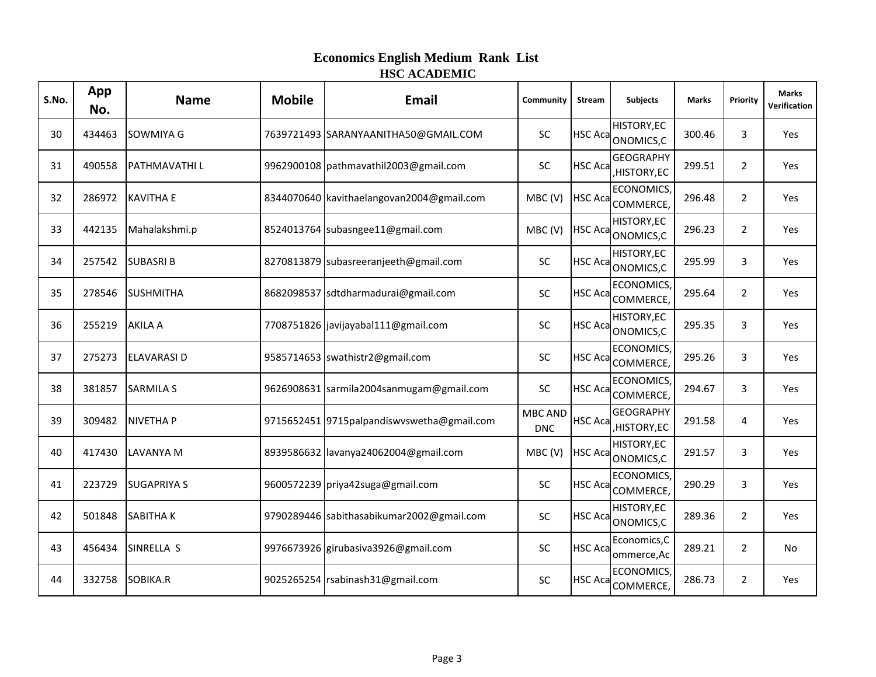| S.No. | App<br>No. | <b>Name</b>        | <b>Mobile</b> | <b>Email</b>                                 | Community                    | <b>Stream</b>  | <b>Subjects</b>                         | <b>Marks</b> | Priority       | <b>Marks</b><br>Verification |
|-------|------------|--------------------|---------------|----------------------------------------------|------------------------------|----------------|-----------------------------------------|--------------|----------------|------------------------------|
| 30    | 434463     | SOWMIYA G          |               | 7639721493 SARANYAANITHA50@GMAIL.COM         | <b>SC</b>                    |                | HISTORY, EC<br>HSC Aca ONOMICS, C       | 300.46       | 3              | Yes                          |
| 31    | 490558     | PATHMAVATHI L      |               | 9962900108 pathmavathil2003@gmail.com        | <b>SC</b>                    | <b>HSC Aca</b> | <b>GEOGRAPHY</b><br>HISTORY, EC         | 299.51       | $\overline{2}$ | Yes                          |
| 32    | 286972     | <b>KAVITHA E</b>   |               | 8344070640 kavithaelangovan2004@gmail.com    | MBC (V)                      |                | <b>ECONOMICS,</b><br>HSC Aca COMMERCE,  | 296.48       | $\overline{2}$ | Yes                          |
| 33    | 442135     | Mahalakshmi.p      |               | 8524013764 subasngee11@gmail.com             | MBC(V)                       |                | <b>HISTORY,EC</b><br>HSC Aca ONOMICS, C | 296.23       | $\overline{2}$ | Yes                          |
| 34    | 257542     | <b>SUBASRIB</b>    |               | 8270813879 subasreeranjeeth@gmail.com        | <b>SC</b>                    |                | <b>HISTORY,EC</b><br>HSC Aca ONOMICS, C | 295.99       | 3              | Yes                          |
| 35    | 278546     | <b>SUSHMITHA</b>   |               | 8682098537 sdtdharmadurai@gmail.com          | SC                           |                | ECONOMICS,<br>HSC Aca COMMERCE,         | 295.64       | $\overline{2}$ | <b>Yes</b>                   |
| 36    | 255219     | <b>AKILA A</b>     |               | 7708751826 javijayabal111@gmail.com          | SC                           |                | <b>HISTORY,EC</b><br>HSC Aca ONOMICS, C | 295.35       | 3              | Yes                          |
| 37    | 275273     | <b>ELAVARASI D</b> |               | 9585714653 swathistr2@gmail.com              | SC                           |                | ECONOMICS,<br>HSC Aca COMMERCE,         | 295.26       | 3              | Yes                          |
| 38    | 381857     | <b>SARMILA S</b>   |               | 9626908631 sarmila2004sanmugam@gmail.com     | <b>SC</b>                    |                | ECONOMICS,<br>HSC Aca COMMERCE,         | 294.67       | 3              | <b>Yes</b>                   |
| 39    | 309482     | <b>NIVETHAP</b>    |               | 9715652451 9715 palpandis wyswetha@gmail.com | <b>MBC AND</b><br><b>DNC</b> | <b>HSC Aca</b> | <b>GEOGRAPHY</b><br>HISTORY, EC         | 291.58       | 4              | Yes                          |
| 40    | 417430     | <b>LAVANYA M</b>   |               | 8939586632 lavanya24062004@gmail.com         | MBC(V)                       |                | <b>HISTORY,EC</b><br>HSC Aca ONOMICS, C | 291.57       | 3              | Yes                          |
| 41    | 223729     | <b>SUGAPRIYA S</b> |               | 9600572239 priya42suga@gmail.com             | <b>SC</b>                    |                | ECONOMICS,<br>HSC Aca COMMERCE,         | 290.29       | 3              | Yes                          |
| 42    | 501848     | <b>SABITHAK</b>    |               | 9790289446 sabithasabikumar2002@gmail.com    | SC                           |                | <b>HISTORY,EC</b><br>HSC Aca ONOMICS,C  | 289.36       | $\overline{2}$ | Yes                          |
| 43    | 456434     | SINRELLA S         |               | 9976673926 girubasiva3926@gmail.com          | <b>SC</b>                    | <b>HSC Aca</b> | Economics, C<br>ommerce, Ac             | 289.21       | $\overline{2}$ | No                           |
| 44    | 332758     | SOBIKA.R           |               | 9025265254 rsabinash31@gmail.com             | SC                           |                | ECONOMICS,<br>HSC Aca COMMERCE,         | 286.73       | $\overline{2}$ | Yes                          |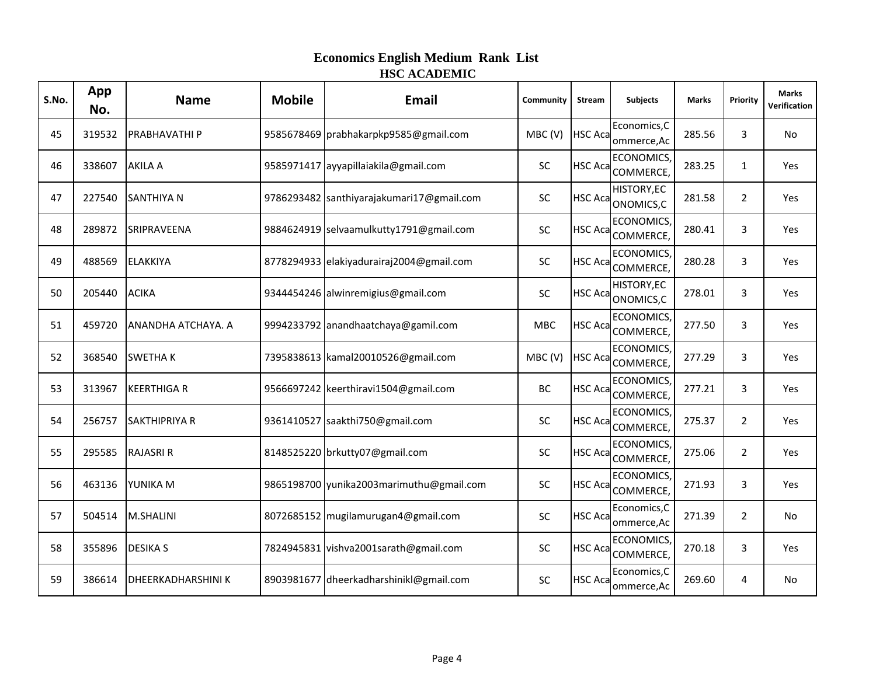| S.No. | App<br>No. | <b>Name</b>               | <b>Mobile</b> | <b>Email</b>                              | Community  | <b>Stream</b>  | <b>Subjects</b>                                  | <b>Marks</b> | Priority       | <b>Marks</b><br>Verification |
|-------|------------|---------------------------|---------------|-------------------------------------------|------------|----------------|--------------------------------------------------|--------------|----------------|------------------------------|
| 45    | 319532     | PRABHAVATHI P             |               | 9585678469 prabhakarpkp9585@gmail.com     | MBC(V)     | <b>HSC Aca</b> | Economics, C<br>ommerce, Ac                      | 285.56       | 3              | No                           |
| 46    | 338607     | <b>AKILA A</b>            |               | 9585971417 ayyapillaiakila@gmail.com      | <b>SC</b>  | <b>HSC Aca</b> | ECONOMICS,<br>COMMERCE,                          | 283.25       | $\mathbf{1}$   | Yes                          |
| 47    | 227540     | <b>SANTHIYA N</b>         |               | 9786293482 santhiyarajakumari17@gmail.com | <b>SC</b>  |                | <b>HISTORY,EC</b><br>HSC Aca ONOMICS, C          | 281.58       | $\overline{2}$ | Yes                          |
| 48    | 289872     | SRIPRAVEENA               |               | 9884624919 selvaamulkutty1791@gmail.com   | <b>SC</b>  | <b>HSC Aca</b> | ECONOMICS,<br>COMMERCE,                          | 280.41       | 3              | Yes                          |
| 49    | 488569     | <b>ELAKKIYA</b>           |               | 8778294933 elakiyadurairaj2004@gmail.com  | <b>SC</b>  |                | ECONOMICS,<br>HSC Aca COMMERCE,                  | 280.28       | 3              | Yes                          |
| 50    | 205440     | <b>ACIKA</b>              |               | 9344454246 alwinremigius@gmail.com        | <b>SC</b>  |                | <b>HISTORY,EC</b><br>HSC Aca ONOMICS, C          | 278.01       | 3              | Yes                          |
| 51    | 459720     | ANANDHA ATCHAYA. A        |               | 9994233792 anandhaatchaya@gamil.com       | <b>MBC</b> |                | ECONOMICS,<br>HSC Aca COMMERCE,                  | 277.50       | 3              | Yes                          |
| 52    | 368540     | <b>SWETHAK</b>            |               | 7395838613 kamal20010526@gmail.com        | MBC (V)    | <b>HSC Aca</b> | ECONOMICS,<br>COMMERCE,                          | 277.29       | 3              | Yes                          |
| 53    | 313967     | <b>KEERTHIGA R</b>        |               | 9566697242 keerthiravi1504@gmail.com      | BC         |                | <b>ECONOMICS</b><br>HSC Aca <sub>COMMERCE,</sub> | 277.21       | 3              | Yes                          |
| 54    | 256757     | <b>SAKTHIPRIYA R</b>      |               | 9361410527 saakthi750@gmail.com           | <b>SC</b>  |                | ECONOMICS,<br>HSC Aca COMMERCE,                  | 275.37       | $\overline{2}$ | Yes                          |
| 55    | 295585     | <b>RAJASRI R</b>          |               | 8148525220 brkutty07@gmail.com            | <b>SC</b>  |                | ECONOMICS,<br>HSC Aca COMMERCE,                  | 275.06       | $\overline{2}$ | Yes                          |
| 56    | 463136     | YUNIKA M                  |               | 9865198700 yunika2003marimuthu@gmail.com  | <b>SC</b>  | <b>HSC Aca</b> | ECONOMICS,<br>COMMERCE,                          | 271.93       | 3              | Yes                          |
| 57    | 504514     | M.SHALINI                 |               | 8072685152 mugilamurugan4@gmail.com       | SC         | <b>HSC Aca</b> | Economics, C<br>ommerce, Ac                      | 271.39       | $\overline{2}$ | No.                          |
| 58    | 355896     | <b>DESIKA S</b>           |               | 7824945831 vishva2001sarath@gmail.com     | <b>SC</b>  | <b>HSC Aca</b> | <b>ECONOMICS</b><br>COMMERCE,                    | 270.18       | 3              | Yes                          |
| 59    | 386614     | <b>DHEERKADHARSHINI K</b> |               | 8903981677 dheerkadharshinikl@gmail.com   | SC         | <b>HSC Aca</b> | Economics, C<br>ommerce, Ac                      | 269.60       | 4              | No                           |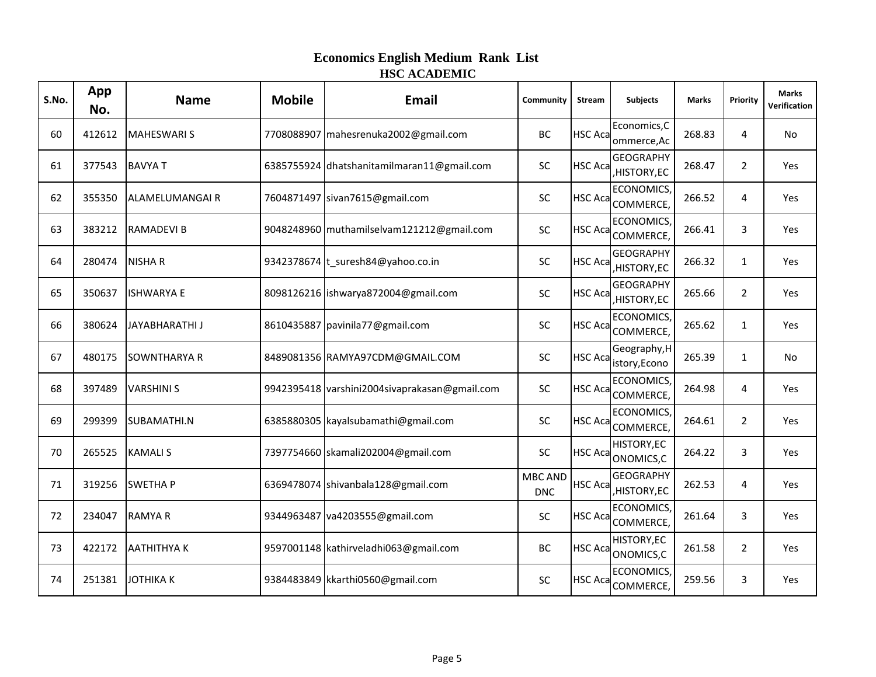| S.No. | App<br>No. | <b>Name</b>           | <b>Mobile</b> | <b>Email</b>                                  | Community                    | <b>Stream</b>  | <b>Subjects</b>                            | <b>Marks</b> | Priority       | <b>Marks</b><br>Verification |
|-------|------------|-----------------------|---------------|-----------------------------------------------|------------------------------|----------------|--------------------------------------------|--------------|----------------|------------------------------|
| 60    | 412612     | <b>MAHESWARIS</b>     |               | 7708088907 mahesrenuka2002@gmail.com          | BC                           | <b>HSC Aca</b> | Economics, C<br>ommerce, Ac                | 268.83       | 4              | No                           |
| 61    | 377543     | <b>BAVYAT</b>         |               | 6385755924 dhatshanitamilmaran11@gmail.com    | <b>SC</b>                    | <b>HSC Aca</b> | <b>GEOGRAPHY</b><br>HISTORY, EC            | 268.47       | $\overline{2}$ | Yes                          |
| 62    | 355350     | <b>ALAMELUMANGAIR</b> |               | 7604871497 sivan7615@gmail.com                | SC                           |                | ECONOMICS,<br>HSC Aca <sub>COMMERCE,</sub> | 266.52       | 4              | Yes                          |
| 63    | 383212     | <b>RAMADEVI B</b>     |               | 9048248960 muthamilselvam121212@gmail.com     | <b>SC</b>                    | <b>HSC Aca</b> | ECONOMICS,<br>COMMERCE,                    | 266.41       | 3              | Yes                          |
| 64    | 280474     | <b>NISHAR</b>         |               | 9342378674 t_suresh84@yahoo.co.in             | <b>SC</b>                    | HSC Aca        | <b>GEOGRAPHY</b><br>HISTORY, EC            | 266.32       | 1              | Yes                          |
| 65    | 350637     | <b>ISHWARYA E</b>     |               | 8098126216 ishwarya872004@gmail.com           | <b>SC</b>                    | <b>HSC Aca</b> | <b>GEOGRAPHY</b><br>HISTORY, EC            | 265.66       | $\overline{2}$ | Yes                          |
| 66    | 380624     | <b>JAYABHARATHI J</b> |               | 8610435887 pavinila77@gmail.com               | SC                           |                | ECONOMICS,<br>HSC Aca COMMERCE,            | 265.62       | $\mathbf{1}$   | Yes                          |
| 67    | 480175     | <b>SOWNTHARYA R</b>   |               | 8489081356 RAMYA97CDM@GMAIL.COM               | <b>SC</b>                    | <b>HSC Aca</b> | Geography, H<br>istory, Econo              | 265.39       | $\mathbf{1}$   | No.                          |
| 68    | 397489     | <b>VARSHINI S</b>     |               | 9942395418 varshini2004sivaprakasan@gmail.com | SC                           |                | ECONOMICS,<br>HSC Aca <sub>COMMERCE,</sub> | 264.98       | 4              | Yes                          |
| 69    | 299399     | SUBAMATHI.N           |               | 6385880305 kayalsubamathi@gmail.com           | <b>SC</b>                    |                | ECONOMICS,<br>HSC Aca COMMERCE,            | 264.61       | $\overline{2}$ | Yes                          |
| 70    | 265525     | <b>KAMALIS</b>        |               | 7397754660 skamali202004@gmail.com            | SC                           |                | <b>HISTORY,EC</b><br>HSC Aca ONOMICS, C    | 264.22       | 3              | Yes                          |
| 71    | 319256     | <b>SWETHAP</b>        |               | 6369478074 shivanbala128@gmail.com            | <b>MBC AND</b><br><b>DNC</b> | <b>HSC Aca</b> | <b>GEOGRAPHY</b><br>HISTORY, EC            | 262.53       | 4              | Yes                          |
| 72    | 234047     | <b>RAMYAR</b>         |               | 9344963487 va4203555@gmail.com                | SC                           | <b>HSC Aca</b> | <b>ECONOMICS</b><br>COMMERCE,              | 261.64       | 3              | Yes                          |
| 73    | 422172     | <b>AATHITHYAK</b>     |               | 9597001148   kathirveladhi063@gmail.com       | BC                           | <b>HSC Aca</b> | <b>HISTORY,EC</b><br>ONOMICS,C             | 261.58       | $\overline{2}$ | Yes                          |
| 74    | 251381     | <b>JOTHIKAK</b>       |               | 9384483849 kkarthi0560@gmail.com              | SC                           | <b>HSC Aca</b> | ECONOMICS,<br>COMMERCE,                    | 259.56       | 3              | Yes                          |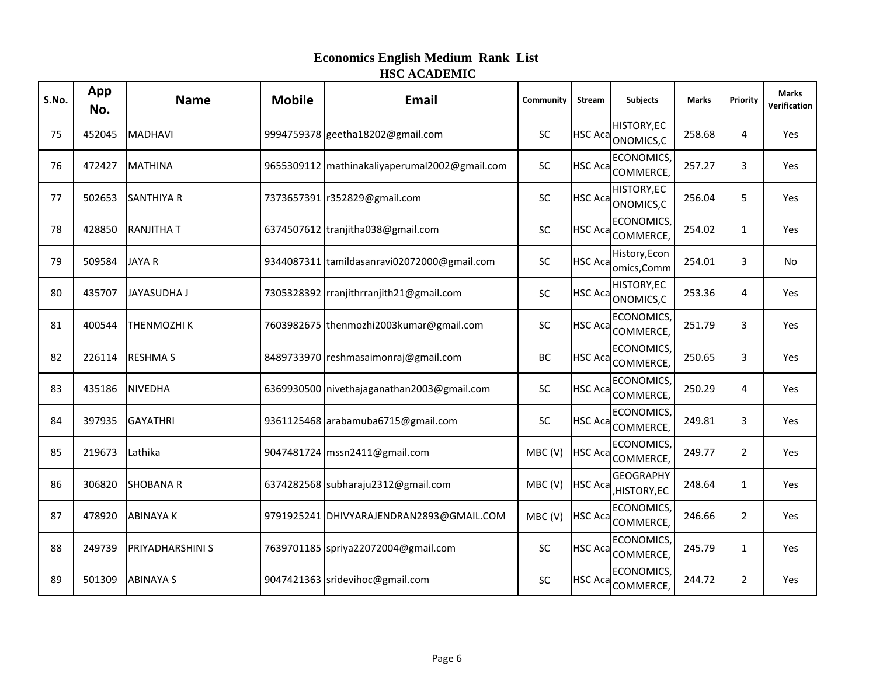| S.No. | App<br>No. | <b>Name</b>             | <b>Mobile</b> | <b>Email</b>                                  | Community | <b>Stream</b>  | <b>Subjects</b>                         | <b>Marks</b> | Priority       | <b>Marks</b><br>Verification |
|-------|------------|-------------------------|---------------|-----------------------------------------------|-----------|----------------|-----------------------------------------|--------------|----------------|------------------------------|
| 75    | 452045     | <b>MADHAVI</b>          |               | 9994759378 geetha18202@gmail.com              | SC        |                | HISTORY, EC<br>HSC Aca ONOMICS, C       | 258.68       | 4              | Yes                          |
| 76    | 472427     | <b>MATHINA</b>          |               | 9655309112 mathinakaliyaperumal2002@gmail.com | <b>SC</b> | <b>HSC Aca</b> | ECONOMICS,<br>COMMERCE,                 | 257.27       | 3              | Yes                          |
| 77    | 502653     | <b>SANTHIYA R</b>       |               | 7373657391 r352829@gmail.com                  | <b>SC</b> |                | <b>HISTORY,EC</b><br>HSC Aca ONOMICS, C | 256.04       | 5              | Yes                          |
| 78    | 428850     | <b>RANJITHAT</b>        |               | 6374507612 tranjitha038@gmail.com             | <b>SC</b> |                | ECONOMICS,<br>HSC Aca COMMERCE,         | 254.02       | $\mathbf{1}$   | Yes                          |
| 79    | 509584     | <b>JAYA R</b>           |               | 9344087311 tamildasanravi02072000@gmail.com   | <b>SC</b> | <b>HSC Aca</b> | History, Econ<br>omics, Comm            | 254.01       | 3              | No                           |
| 80    | 435707     | <b>JAYASUDHA J</b>      |               | 7305328392 rranjithrranjith21@gmail.com       | SC        |                | <b>HISTORY,EC</b><br>HSC Aca ONOMICS, C | 253.36       | 4              | <b>Yes</b>                   |
| 81    | 400544     | THENMOZHI K             |               | 7603982675 thenmozhi2003kumar@gmail.com       | SC        |                | ECONOMICS,<br>HSC Aca COMMERCE,         | 251.79       | 3              | Yes                          |
| 82    | 226114     | <b>RESHMA S</b>         |               | 8489733970 reshmasaimonraj@gmail.com          | BC        |                | ECONOMICS,<br>HSC Aca COMMERCE,         | 250.65       | 3              | Yes                          |
| 83    | 435186     | <b>NIVEDHA</b>          |               | 6369930500 nivethajaganathan2003@gmail.com    | <b>SC</b> |                | ECONOMICS,<br>HSC Aca COMMERCE,         | 250.29       | 4              | <b>Yes</b>                   |
| 84    | 397935     | <b>GAYATHRI</b>         |               | 9361125468 arabamuba6715@gmail.com            | SC        |                | ECONOMICS,<br>HSC Aca COMMERCE,         | 249.81       | 3              | Yes                          |
| 85    | 219673     | Lathika                 |               | 9047481724 mssn2411@gmail.com                 | MBC(V)    |                | ECONOMICS,<br>HSC Aca COMMERCE,         | 249.77       | $\overline{2}$ | Yes                          |
| 86    | 306820     | <b>SHOBANA R</b>        |               | 6374282568 subharaju2312@gmail.com            | MBC (V)   | <b>HSC Aca</b> | <b>GEOGRAPHY</b><br>HISTORY, EC         | 248.64       | $\mathbf{1}$   | Yes                          |
| 87    | 478920     | <b>ABINAYA K</b>        |               | 9791925241 DHIVYARAJENDRAN2893@GMAIL.COM      | MBC(V)    |                | <b>ECONOMICS</b><br>HSC Aca COMMERCE,   | 246.66       | $\overline{2}$ | Yes                          |
| 88    | 249739     | <b>PRIYADHARSHINI S</b> |               | 7639701185 spriya22072004@gmail.com           | <b>SC</b> |                | ECONOMICS,<br>HSC Aca COMMERCE,         | 245.79       | $\mathbf{1}$   | <b>Yes</b>                   |
| 89    | 501309     | <b>ABINAYA S</b>        |               | 9047421363 sridevihoc@gmail.com               | SC        |                | ECONOMICS,<br>HSC Aca COMMERCE,         | 244.72       | $\overline{2}$ | Yes                          |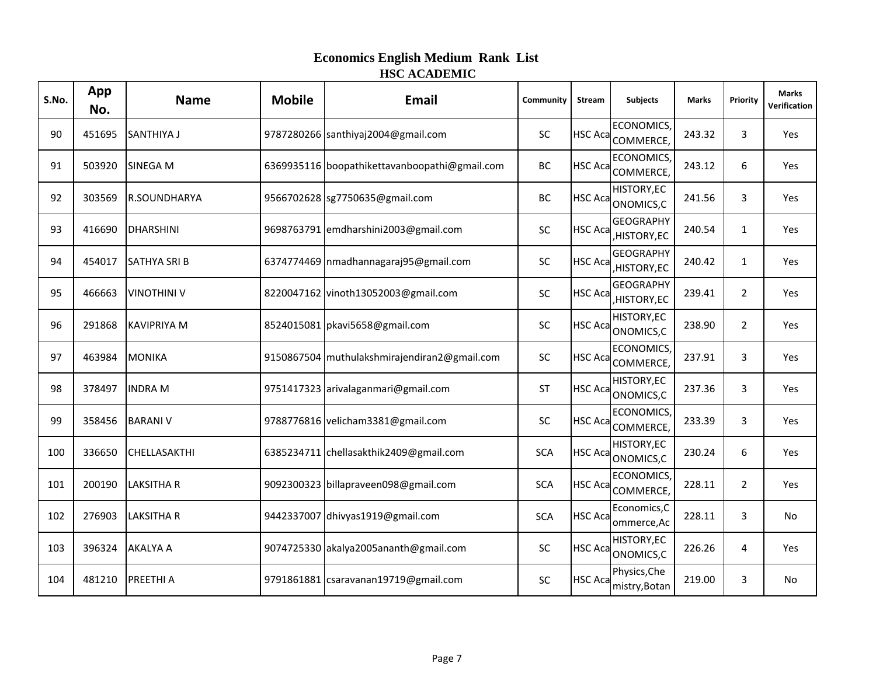| S.No. | App<br>No. | <b>Name</b>         | <b>Mobile</b> | <b>Email</b>                                  | Community  | <b>Stream</b>  | <b>Subjects</b>                                   | <b>Marks</b> | Priority       | <b>Marks</b><br>Verification |
|-------|------------|---------------------|---------------|-----------------------------------------------|------------|----------------|---------------------------------------------------|--------------|----------------|------------------------------|
| 90    | 451695     | SANTHIYA J          |               | 9787280266 santhiyaj2004@gmail.com            | <b>SC</b>  | <b>HSC Aca</b> | ECONOMICS,<br>COMMERCE,                           | 243.32       | 3              | Yes                          |
| 91    | 503920     | SINEGA M            |               | 6369935116 boopathikettavanboopathi@gmail.com | BC         | <b>HSC Aca</b> | ECONOMICS,<br>COMMERCE,                           | 243.12       | 6              | Yes                          |
| 92    | 303569     | R.SOUNDHARYA        |               | 9566702628 sg7750635@gmail.com                | BC         |                | <b>HISTORY,EC</b><br>HSC Aca ONOMICS, C           | 241.56       | 3              | Yes                          |
| 93    | 416690     | <b>DHARSHINI</b>    |               | 9698763791 emdharshini2003@gmail.com          | <b>SC</b>  | <b>HSC Aca</b> | <b>GEOGRAPHY</b><br>HISTORY, EC                   | 240.54       | $\mathbf{1}$   | Yes                          |
| 94    | 454017     | <b>SATHYA SRI B</b> |               | 6374774469   nmadhannagaraj95@gmail.com       | <b>SC</b>  | <b>HSC Aca</b> | <b>GEOGRAPHY</b><br>HISTORY, EC                   | 240.42       | $\mathbf{1}$   | Yes                          |
| 95    | 466663     | <b>VINOTHINI V</b>  |               | 8220047162 vinoth13052003@gmail.com           | SC         | <b>HSC Aca</b> | <b>GEOGRAPHY</b><br>HISTORY, EC                   | 239.41       | $\overline{2}$ | Yes                          |
| 96    | 291868     | <b>KAVIPRIYA M</b>  |               | 8524015081 pkavi5658@gmail.com                | SC         |                | <b>HISTORY,EC</b><br>HSC Aca ONOMICS, C           | 238.90       | $\overline{2}$ | Yes                          |
| 97    | 463984     | <b>MONIKA</b>       |               | 9150867504 muthulakshmirajendiran2@gmail.com  | SC         | <b>HSC Aca</b> | ECONOMICS,<br>COMMERCE,                           | 237.91       | 3              | Yes                          |
| 98    | 378497     | <b>INDRA M</b>      |               | 9751417323 arivalaganmari@gmail.com           | ST         |                | <b>HISTORY,EC</b><br>HSC Aca <sub>ONOMICS,C</sub> | 237.36       | 3              | Yes                          |
| 99    | 358456     | <b>BARANI V</b>     |               | 9788776816 velicham3381@gmail.com             | <b>SC</b>  |                | ECONOMICS,<br>HSC Aca COMMERCE,                   | 233.39       | 3              | Yes                          |
| 100   | 336650     | CHELLASAKTHI        |               | 6385234711 chellasakthik2409@gmail.com        | <b>SCA</b> |                | <b>HISTORY,EC</b><br>HSC Aca ONOMICS, C           | 230.24       | 6              | Yes                          |
| 101   | 200190     | <b>LAKSITHA R</b>   |               | 9092300323 billapraveen098@gmail.com          | <b>SCA</b> |                | ECONOMICS,<br>HSC Aca COMMERCE,                   | 228.11       | $\overline{2}$ | Yes                          |
| 102   | 276903     | <b>LAKSITHA R</b>   |               | 9442337007 dhivyas1919@gmail.com              | <b>SCA</b> | <b>HSC Aca</b> | Economics, C<br>ommerce, Ac                       | 228.11       | 3              | No                           |
| 103   | 396324     | <b>AKALYA A</b>     |               | 9074725330 akalya2005ananth@gmail.com         | <b>SC</b>  | <b>HSC Aca</b> | <b>HISTORY,EC</b><br>ONOMICS, C                   | 226.26       | 4              | Yes                          |
| 104   | 481210     | <b>PREETHI A</b>    |               | 9791861881   csaravanan19719@gmail.com        | SC         | <b>HSC Aca</b> | Physics, Che<br>mistry, Botan                     | 219.00       | 3              | No                           |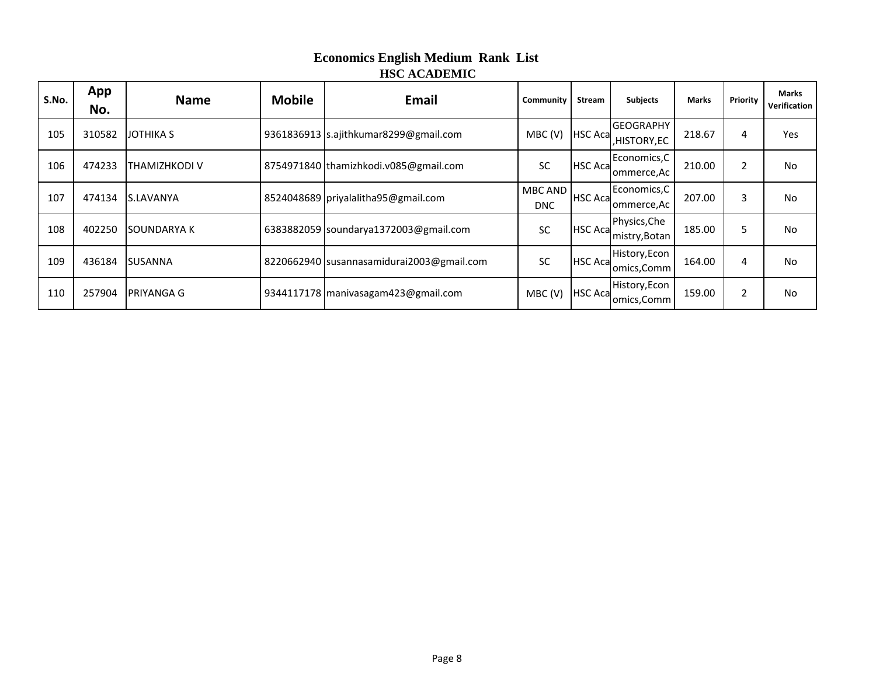| S.No. | App<br>No. | <b>Name</b>       | <b>Mobile</b> | Email                                     | Community             | Stream         | <b>Subjects</b>                 | <b>Marks</b> | Priority       | <b>Marks</b><br>Verification |
|-------|------------|-------------------|---------------|-------------------------------------------|-----------------------|----------------|---------------------------------|--------------|----------------|------------------------------|
| 105   | 310582     | <b>JOTHIKA S</b>  |               | 9361836913 s.ajithkumar8299@gmail.com     | MBC (V)               | <b>HSC Aca</b> | <b>GEOGRAPHY</b><br>,HISTORY,EC | 218.67       | 4              | Yes                          |
| 106   | 474233     | THAMIZHKODI V     |               | 8754971840 thamizhkodi.v085@gmail.com     | <b>SC</b>             | <b>HSC Aca</b> | Economics, C<br>ommerce, Ac     | 210.00       | $\overline{2}$ | No                           |
| 107   | 474134     | S.LAVANYA         |               | 8524048689 priyalalitha95@gmail.com       | MBC AND<br><b>DNC</b> | HSC Aca        | Economics, C<br>'ommerce,Ac     | 207.00       | 3              | No                           |
| 108   | 402250     | <b>SOUNDARYAK</b> |               | 6383882059 soundarya1372003@gmail.com     | <b>SC</b>             | <b>HSC Aca</b> | Physics, Che<br>mistry, Botan   | 185.00       | 5              | <b>No</b>                    |
| 109   | 436184     | <b>SUSANNA</b>    |               | 8220662940 susannasamidurai2003@gmail.com | <b>SC</b>             | <b>HSC Aca</b> | History, Econ<br>omics, Comm    | 164.00       | 4              | No                           |
| 110   | 257904     | <b>PRIYANGA G</b> |               | 9344117178 manivasagam423@gmail.com       | MBC(V)                | <b>HSC Aca</b> | History, Econ<br>omics, Comm    | 159.00       | 2              | No                           |